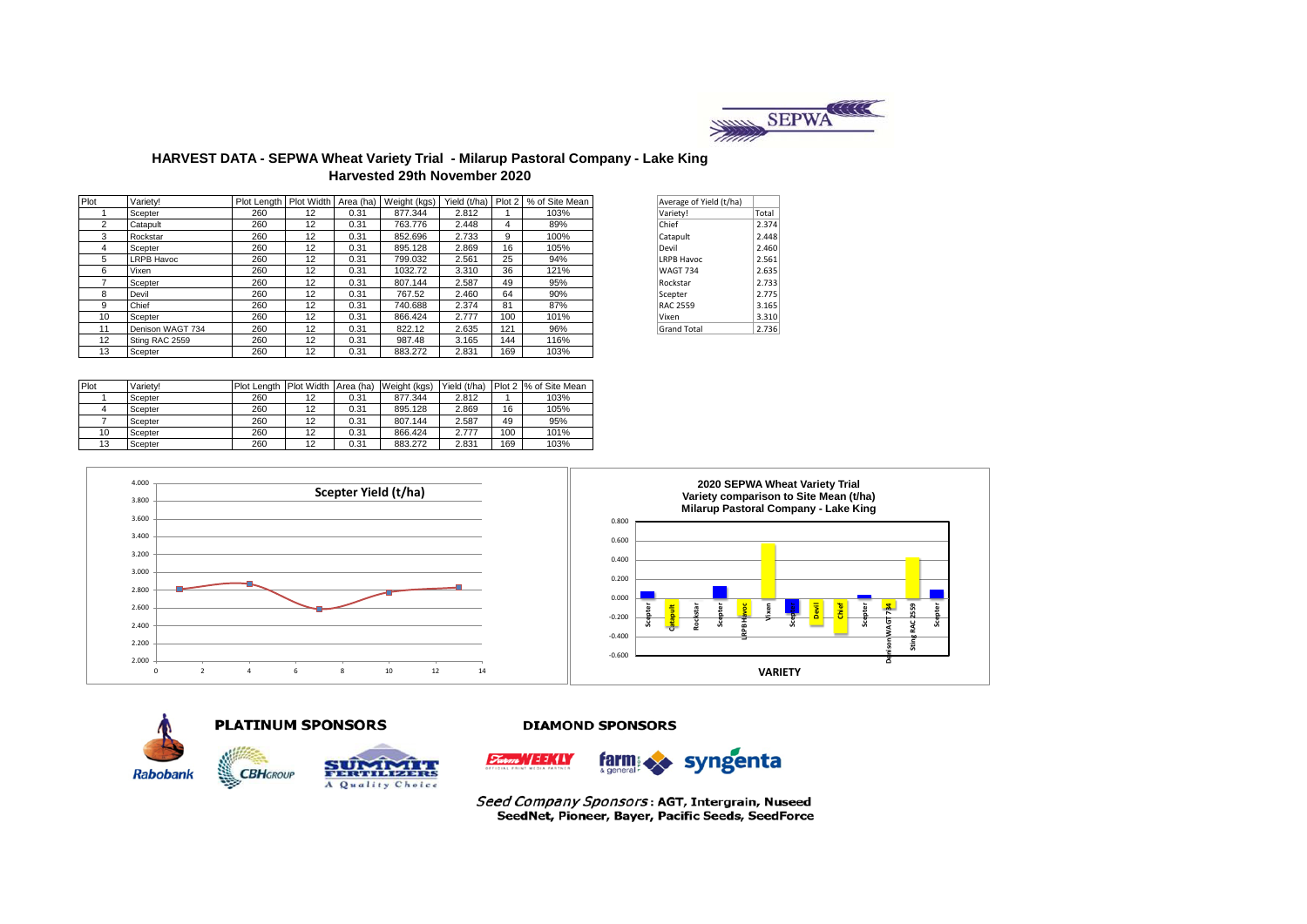

# **HARVEST DATA - SEPWA Wheat Variety Trial - Milarup Pastoral Company - Lake King Harvested 29th November 2020**

| Plot           | Varietv!         | Plot Length   Plot Width   Area (ha) |    |      | Weight (kgs) | Yield (t/ha) | Plot 2 | % of Site Mean | Average of Yield (t/ha) |       |
|----------------|------------------|--------------------------------------|----|------|--------------|--------------|--------|----------------|-------------------------|-------|
|                | Scepter          | 260                                  | 12 | 0.31 | 877.344      | 2.812        |        | 103%           | Variety!                | Total |
| $\overline{2}$ | Catapult         | 260                                  | 12 | 0.31 | 763.776      | 2.448        | 4      | 89%            | Chief                   | 2.374 |
| 3              | Rockstar         | 260                                  | 12 | 0.31 | 852.696      | 2.733        | 9      | 100%           | Catapult                | 2.448 |
| 4              | Scepter          | 260                                  | 12 | 0.31 | 895.128      | 2.869        | 16     | 105%           | Devil                   | 2.460 |
| 5              | LRPB Havoc       | 260                                  | 12 | 0.31 | 799.032      | 2.561        | 25     | 94%            | <b>LRPB Havoc</b>       | 2.561 |
| 6              | Vixen            | 260                                  | 12 | 0.31 | 1032.72      | 3.310        | 36     | 121%           | <b>WAGT 734</b>         | 2.635 |
|                | Scepter          | 260                                  | 12 | 0.31 | 807.144      | 2.587        | 49     | 95%            | Rockstar                | 2.733 |
| 8              | Devil            | 260                                  | 12 | 0.31 | 767.52       | 2.460        | 64     | 90%            | Scepter                 | 2.775 |
| 9              | Chief            | 260                                  | 12 | 0.31 | 740.688      | 2.374        | 81     | 87%            | <b>RAC 2559</b>         | 3.165 |
| 10             | Scepter          | 260                                  | 12 | 0.31 | 866.424      | 2.777        | 100    | 101%           | Vixen                   | 3.310 |
| 11             | Denison WAGT 734 | 260                                  | 12 | 0.31 | 822.12       | 2.635        | 121    | 96%            | <b>Grand Total</b>      | 2.736 |
| 12             | Sting RAC 2559   | 260                                  | 12 | 0.31 | 987.48       | 3.165        | 144    | 116%           |                         |       |
| 13             | Scepter          | 260                                  | 12 | 0.31 | 883.272      | 2.831        | 169    | 103%           |                         |       |

| Average of Yield (t/ha) |       |
|-------------------------|-------|
| Variety!                | Total |
| Chief                   | 2.374 |
| Catapult                | 2.448 |
| Devil                   | 2.460 |
| <b>LRPB Havoc</b>       | 2.561 |
| <b>WAGT 734</b>         | 2.635 |
| Rockstar                | 2.733 |
| Scepter                 | 2.775 |
| RAC 2559                | 3.165 |
| Vixen                   | 3.310 |
| <b>Grand Total</b>      | 2.736 |
|                         |       |

| Plot | Variety! | Plot Length Plot Width Area (ha) |    |      | Weight (kgs) | Yield (t/ha) | Plot 2 | % of Site Mean |
|------|----------|----------------------------------|----|------|--------------|--------------|--------|----------------|
|      | Scepter  | 260                              | 12 | 0.31 | 877.344      | 2.812        |        | 103%           |
|      | Scepter  | 260                              | 12 | 0.31 | 895.128      | 2.869        | 16     | 105%           |
|      | Scepter  | 260                              | 12 | 0.31 | 807.144      | 2.587        | 49     | 95%            |
| 10   | Scepter  | 260                              | 12 | 0.31 | 866.424      | 2.777        | 100    | 101%           |
| 13   | Scepter  | 260                              | 12 | 0.31 | 883.272      | 2.831        | 169    | 103%           |





### **DIAMOND SPONSORS**



Seed Company Sponsors: AGT, Intergrain, Nuseed SeedNet, Pioneer, Bayer, Pacific Seeds, SeedForce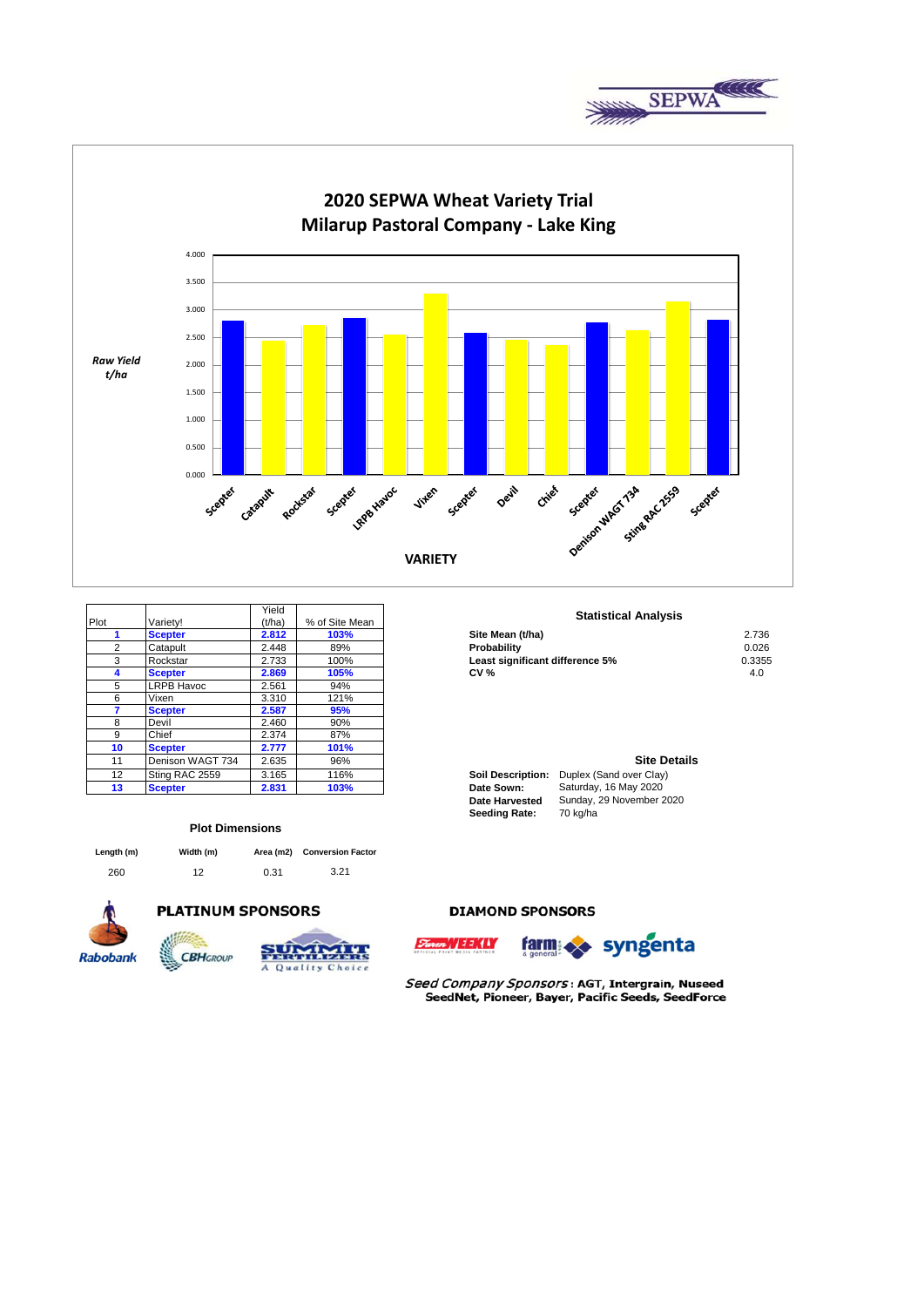



|                 |                   | Yield  |                | <b>Statistical Analys</b>                           |
|-----------------|-------------------|--------|----------------|-----------------------------------------------------|
| Plot            | Variety!          | (t/ha) | % of Site Mean |                                                     |
|                 | <b>Scepter</b>    | 2.812  | 103%           | Site Mean (t/ha)                                    |
| 2               | Catapult          | 2.448  | 89%            | Probability                                         |
| 3               | Rockstar          | 2.733  | 100%           | Least significant difference 5%                     |
|                 | <b>Scepter</b>    | 2.869  | 105%           | <b>CV %</b>                                         |
| 5               | <b>LRPB Havoc</b> | 2.561  | 94%            |                                                     |
| 6               | Vixen             | 3.310  | 121%           |                                                     |
|                 | <b>Scepter</b>    | 2.587  | 95%            |                                                     |
| 8               | Devil             | 2.460  | 90%            |                                                     |
| 9               | Chief             | 2.374  | 87%            |                                                     |
| 10              | <b>Scepter</b>    | 2.777  | 101%           |                                                     |
| 11              | Denison WAGT 734  | 2.635  | 96%            | Site D                                              |
| 12 <sup>2</sup> | Sting RAC 2559    | 3.165  | 116%           | <b>Soil Description:</b><br>Duplex (Sand over Clay) |
| 13              | <b>Scepter</b>    | 2.831  | 103%           | Saturday, 16 May 2020<br>Date Sown:                 |

#### **Plot Dimensions**

| Length (m) | Width (m) |      | Area (m2) Conversion Factor |
|------------|-----------|------|-----------------------------|
| 260        | 12        | 0.31 | 3.21                        |



# **PLATINUM SPONSORS**



Quality

 $C<sub>h</sub>$ 

 $\overline{A}$ 

### **DIAMOND SPONSORS**



Seed Company Sponsors: AGT, Intergrain, Nuseed SeedNet, Pioneer, Bayer, Pacific Seeds, SeedForce

### **Statistical Analysis**

| <b>Scepter</b> | 2.812 | 103% | Site Mean (t/ha)                | 2.736  |
|----------------|-------|------|---------------------------------|--------|
| Catapult       | 2.448 | 89%  | Probability                     | 0.026  |
| Rockstar       | 2.733 | 100% | Least significant difference 5% | 0.3355 |
| <b>Scepter</b> | 2.869 | 105% | CV %                            | 4.0    |
|                |       |      |                                 |        |

#### **Site Details**

| <b>Soil Description:</b> | Duplex (Sand over Clay)  |
|--------------------------|--------------------------|
| Date Sown:               | Saturday, 16 May 2020    |
| <b>Date Harvested</b>    | Sunday, 29 November 2020 |
| <b>Seeding Rate:</b>     | 70 kg/ha                 |